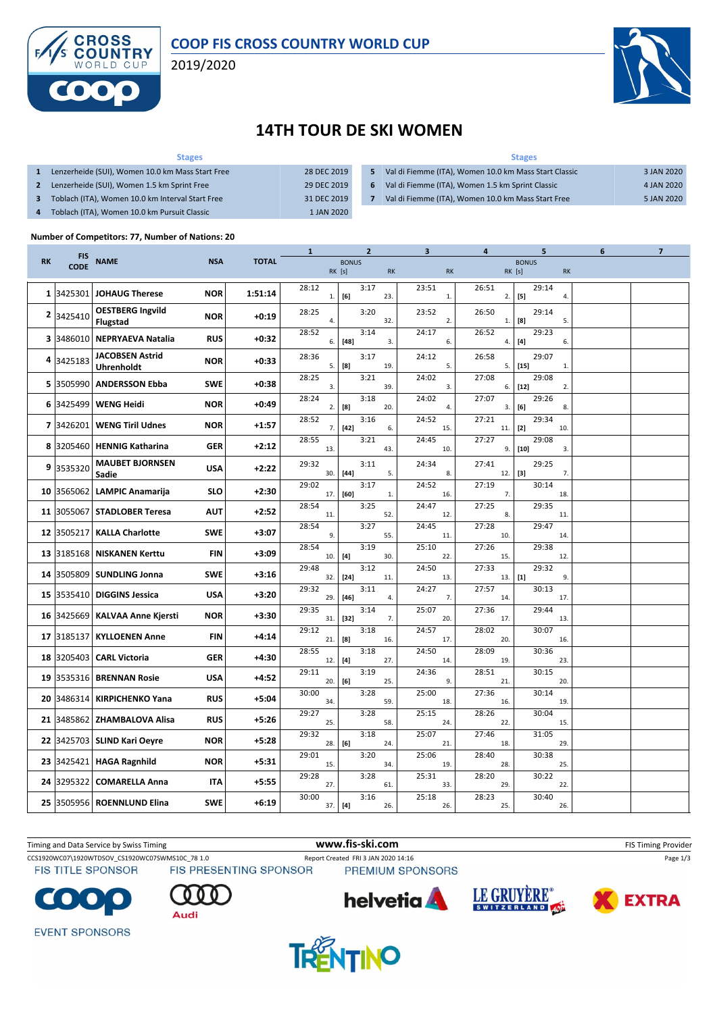

### **COOP FIS CROSS COUNTRY WORLD CUP**

2019/2020



## **14TH TOUR DE SKI WOMEN**

#### **Stages 1** Lenzerheide (SUI), Women 10.0 km Mass Start Free 28 DEC 2019 **2** Lenzerheide (SUI), Women 1.5 km Sprint Free 29 DEC 2019 **3** Toblach (ITA), Women 10.0 km Interval Start Free 31 DEC 2019 **4** Toblach (ITA), Women 10.0 km Pursuit Classic 1 JAN 2020 **Stages 5** Val di Fiemme (ITA), Women 10.0 km Mass Start Classic 3 JAN 2020 **6** Val di Fiemme (ITA), Women 1.5 km Sprint Classic 4 JAN 2020 **7** Val di Fiemme (ITA), Women 10.0 km Mass Start Free 5 JAN 2020

### **Number of Competitors: 77, Number of Nations: 20**

|           | <b>FIS</b>  |                                      |            |              | 1             | $\overline{2}$         |           | 3                     | 4            | 5                                                                                                                                                                                                                                                                                                                                                                                                                                                                                                                                                                                                                                                                                                                                                                                                                    | 6         | 7 |
|-----------|-------------|--------------------------------------|------------|--------------|---------------|------------------------|-----------|-----------------------|--------------|----------------------------------------------------------------------------------------------------------------------------------------------------------------------------------------------------------------------------------------------------------------------------------------------------------------------------------------------------------------------------------------------------------------------------------------------------------------------------------------------------------------------------------------------------------------------------------------------------------------------------------------------------------------------------------------------------------------------------------------------------------------------------------------------------------------------|-----------|---|
| <b>RK</b> | <b>CODE</b> | <b>NAME</b>                          | <b>NSA</b> | <b>TOTAL</b> |               | <b>BONUS</b><br>RK [s] | <b>RK</b> | <b>RK</b>             |              | <b>BONUS</b><br>RK [s]                                                                                                                                                                                                                                                                                                                                                                                                                                                                                                                                                                                                                                                                                                                                                                                               | <b>RK</b> |   |
|           | 1 3425301   | <b>JOHAUG Therese</b>                | <b>NOR</b> | 1:51:14      | 28:12<br>$1.$ | 3:17<br>[6]            | 23.       | 23:51<br>$\mathbf{1}$ | 26:51<br>2.  | 29:14<br>$[5]$                                                                                                                                                                                                                                                                                                                                                                                                                                                                                                                                                                                                                                                                                                                                                                                                       | 4.        |   |
| 2         | 3425410     | <b>OESTBERG Ingvild</b><br>Flugstad  | <b>NOR</b> | $+0:19$      | 28:25<br>4.   | 3:20                   | 32.       | 23:52<br>2.           | 26:50<br>1.  | 29:14<br>[8]                                                                                                                                                                                                                                                                                                                                                                                                                                                                                                                                                                                                                                                                                                                                                                                                         | 5.        |   |
| з         | 3486010     | <b>NEPRYAEVA Natalia</b>             | <b>RUS</b> | $+0:32$      | 28:52<br>6.   | 3:14<br>$[48]$         | 3.        | 24:17<br>6.           | 26:52<br>4.  | 29:23<br>$[4] \centering% \includegraphics[width=1.0\textwidth]{images/TransY.pdf} \caption{The first two different values of $g_I$ and $g_I$ are shown in the left (upper) and the right (lower) and the right (lower) and the right (lower) and the right (lower) and the right (lower) and the right (lower) and the right (lower) and the right (lower) and the right (lower) and the right (lower) and the right (lower) and the right (lower) and the right (lower) and the right (lower) and the right (lower) and the right (lower) and the right (lower) and the right (lower) and the right (lower) and the right (lower) and the right (lower) and the right (lower) and the right (lower) and the right (lower) and the right (lower) and the right (lower) and the right (lower) and the right (lower)$ | 6.        |   |
| 4         | 3425183     | <b>JACOBSEN Astrid</b><br>Uhrenholdt | <b>NOR</b> | $+0:33$      | 28:36<br>5.   | 3:17<br>[8]            | 19.       | 24:12<br>5.           | 26:58<br>5.  | 29:07<br>$[15]$                                                                                                                                                                                                                                                                                                                                                                                                                                                                                                                                                                                                                                                                                                                                                                                                      | 1.        |   |
| 5         | 3505990     | <b>ANDERSSON Ebba</b>                | <b>SWE</b> | $+0:38$      | 28:25<br>3.   | 3:21                   | 39.       | 24:02<br>3.           | 27:08<br>6.  | 29:08<br>$[12]$                                                                                                                                                                                                                                                                                                                                                                                                                                                                                                                                                                                                                                                                                                                                                                                                      | 2.        |   |
| 6         | 3425499     | <b>WENG Heidi</b>                    | <b>NOR</b> | $+0:49$      | 28:24<br>2.   | 3:18<br>[8]            | 20.       | 24:02<br>4.           | 27:07<br>3.  | 29:26<br>[6]                                                                                                                                                                                                                                                                                                                                                                                                                                                                                                                                                                                                                                                                                                                                                                                                         | 8.        |   |
| 7         | 3426201     | <b>WENG Tiril Udnes</b>              | <b>NOR</b> | $+1:57$      | 28:52<br>7.   | 3:16<br>$[42]$         | 6.        | 24:52<br>15.          | 27:21<br>11. | 29:34<br>$[2]$                                                                                                                                                                                                                                                                                                                                                                                                                                                                                                                                                                                                                                                                                                                                                                                                       | 10.       |   |
| 8         | 3205460     | <b>HENNIG Katharina</b>              | <b>GER</b> | $+2:12$      | 28:55<br>13.  | 3:21                   | 43.       | 24:45<br>10.          | 27:27<br>9.  | 29:08<br>$[10]$                                                                                                                                                                                                                                                                                                                                                                                                                                                                                                                                                                                                                                                                                                                                                                                                      | 3.        |   |
| 9         | 3535320     | <b>MAUBET BJORNSEN</b><br>Sadie      | <b>USA</b> | $+2:22$      | 29:32<br>30.  | 3:11<br>$[44]$         | 5.        | 24:34<br>8.           | 27:41<br>12. | 29:25<br>$[3]$                                                                                                                                                                                                                                                                                                                                                                                                                                                                                                                                                                                                                                                                                                                                                                                                       | 7.        |   |
| 10        | 3565062     | <b>LAMPIC Anamarija</b>              | <b>SLO</b> | $+2:30$      | 29:02<br>17.  | 3:17<br>[60]           | 1.        | 24:52<br>16.          | 27:19<br>7.  | 30:14                                                                                                                                                                                                                                                                                                                                                                                                                                                                                                                                                                                                                                                                                                                                                                                                                | 18.       |   |
| 11        |             | 3055067 STADLOBER Teresa             | <b>AUT</b> | $+2:52$      | 28:54<br>11.  | 3:25                   | 52.       | 24:47<br>12.          | 27:25<br>8.  | 29:35                                                                                                                                                                                                                                                                                                                                                                                                                                                                                                                                                                                                                                                                                                                                                                                                                | 11.       |   |
| 12        | 3505217     | <b>KALLA Charlotte</b>               | <b>SWE</b> | $+3:07$      | 28:54<br>9.   | 3:27                   | 55.       | 24:45<br>11.          | 27:28<br>10. | 29:47                                                                                                                                                                                                                                                                                                                                                                                                                                                                                                                                                                                                                                                                                                                                                                                                                | 14.       |   |
| 13        | 3185168     | <b>NISKANEN Kerttu</b>               | <b>FIN</b> | $+3:09$      | 28:54<br>10.  | 3:19<br>[4]            | 30.       | 25:10<br>22.          | 27:26<br>15. | 29:38                                                                                                                                                                                                                                                                                                                                                                                                                                                                                                                                                                                                                                                                                                                                                                                                                | 12.       |   |
| 14        | 3505809     | <b>SUNDLING Jonna</b>                | <b>SWE</b> | $+3:16$      | 29:48<br>32.  | 3:12<br>$[24]$         | 11.       | 24:50<br>13.          | 27:33<br>13. | 29:32<br>$[1]$                                                                                                                                                                                                                                                                                                                                                                                                                                                                                                                                                                                                                                                                                                                                                                                                       | 9.        |   |
| 15        | 3535410     | <b>DIGGINS Jessica</b>               | <b>USA</b> | $+3:20$      | 29:32<br>29.  | 3:11<br>$[46]$         | 4.        | 24:27<br>7.           | 27:57<br>14. | 30:13                                                                                                                                                                                                                                                                                                                                                                                                                                                                                                                                                                                                                                                                                                                                                                                                                | 17.       |   |
| 16        |             | 3425669 KALVAA Anne Kjersti          | <b>NOR</b> | $+3:30$      | 29:35<br>31.  | 3:14<br>$[32]$         | 7.        | 25:07<br>20.          | 27:36<br>17. | 29:44                                                                                                                                                                                                                                                                                                                                                                                                                                                                                                                                                                                                                                                                                                                                                                                                                | 13        |   |
| 17        | 3185137     | <b>KYLLOENEN Anne</b>                | <b>FIN</b> | $+4:14$      | 29:12<br>21.  | 3:18<br>[8]            | 16.       | 24:57<br>17.          | 28:02<br>20. | 30:07                                                                                                                                                                                                                                                                                                                                                                                                                                                                                                                                                                                                                                                                                                                                                                                                                | 16.       |   |
| 18        | 3205403     | <b>CARL Victoria</b>                 | GER        | $+4:30$      | 28:55<br>12.  | 3:18<br>$[4]$          | 27.       | 24:50<br>14.          | 28:09<br>19. | 30:36                                                                                                                                                                                                                                                                                                                                                                                                                                                                                                                                                                                                                                                                                                                                                                                                                | 23.       |   |
| 19        | 3535316     | <b>BRENNAN Rosie</b>                 | <b>USA</b> | $+4:52$      | 29:11<br>20.  | 3:19<br>[6]            | 25.       | 24:36<br>9.           | 28:51<br>21. | 30:15                                                                                                                                                                                                                                                                                                                                                                                                                                                                                                                                                                                                                                                                                                                                                                                                                | 20.       |   |
| 20        | 3486314     | <b>KIRPICHENKO Yana</b>              | <b>RUS</b> | $+5:04$      | 30:00<br>34.  | 3:28                   | 59.       | 25:00<br>18.          | 27:36<br>16. | 30:14                                                                                                                                                                                                                                                                                                                                                                                                                                                                                                                                                                                                                                                                                                                                                                                                                | 19        |   |
| 21        |             | 3485862 ZHAMBALOVA Alisa             | <b>RUS</b> | $+5:26$      | 29:27<br>25.  | 3:28                   | 58.       | 25:15<br>24.          | 28:26<br>22. | 30:04                                                                                                                                                                                                                                                                                                                                                                                                                                                                                                                                                                                                                                                                                                                                                                                                                | 15.       |   |
|           |             | 22 3425703 SLIND Kari Oeyre          | <b>NOR</b> | $+5:28$      | 29:32<br>28.  | 3:18<br>[6]            | 24.       | 25:07<br>21.          | 27:46<br>18. | 31:05                                                                                                                                                                                                                                                                                                                                                                                                                                                                                                                                                                                                                                                                                                                                                                                                                | 29.       |   |
| 23        |             | 3425421 HAGA Ragnhild                | <b>NOR</b> | $+5:31$      | 29:01<br>15.  | 3:20                   | 34.       | 25:06<br>19.          | 28:40<br>28. | 30:38                                                                                                                                                                                                                                                                                                                                                                                                                                                                                                                                                                                                                                                                                                                                                                                                                | 25.       |   |
| 24        | 3295322     | <b>COMARELLA Anna</b>                | IΤΑ        | $+5:55$      | 29:28<br>27.  | 3:28                   | 61        | 25:31<br>33.          | 28:20<br>29. | 30:22                                                                                                                                                                                                                                                                                                                                                                                                                                                                                                                                                                                                                                                                                                                                                                                                                | 22.       |   |
| 25        |             | 3505956 ROENNLUND Elina              | <b>SWE</b> | $+6:19$      | 30:00<br>37.  | 3:16<br>$[4]$          | 26.       | 25:18<br>26.          | 28:23<br>25. | 30:40                                                                                                                                                                                                                                                                                                                                                                                                                                                                                                                                                                                                                                                                                                                                                                                                                | 26.       |   |

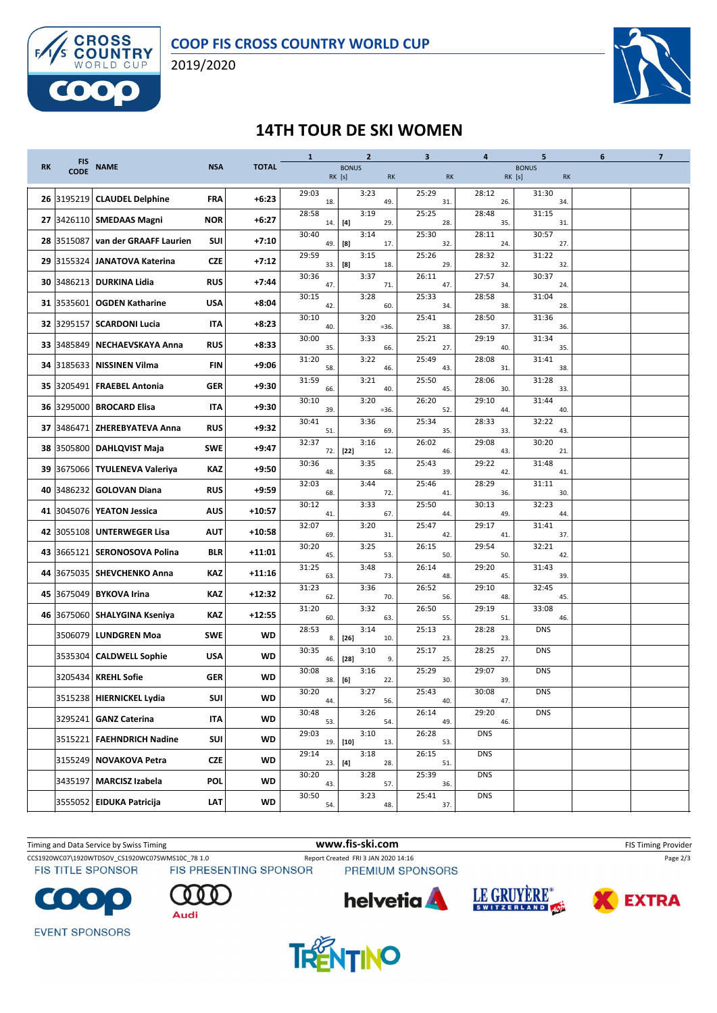

2019/2020



### **14TH TOUR DE SKI WOMEN**

|    | <b>FIS</b>  |                                   |            |              | $\mathbf{1}$ | $\mathbf{2}$                        | 3            | $\overline{a}$ | 5                         | 6 | $\overline{7}$ |
|----|-------------|-----------------------------------|------------|--------------|--------------|-------------------------------------|--------------|----------------|---------------------------|---|----------------|
| RK | <b>CODE</b> | <b>NAME</b>                       | <b>NSA</b> | <b>TOTAL</b> |              | <b>BONUS</b><br>RK [s]<br><b>RK</b> | <b>RK</b>    | RK [s]         | <b>BONUS</b><br><b>RK</b> |   |                |
| 26 | 3195219     | <b>CLAUDEL Delphine</b>           | <b>FRA</b> | $+6:23$      | 29:03<br>18. | 3:23<br>49.                         | 25:29<br>31. | 28:12<br>26.   | 31:30<br>34.              |   |                |
|    |             | 27 3426110 SMEDAAS Magni          | <b>NOR</b> | $+6:27$      | 28:58<br>14. | 3:19<br>[4]<br>29.                  | 25:25<br>28. | 28:48<br>35.   | 31:15<br>31.              |   |                |
|    |             | 28 3515087 van der GRAAFF Laurien | SUI        | $+7:10$      | 30:40<br>49. | 3:14<br>[8]<br>17.                  | 25:30<br>32. | 28:11<br>24.   | 30:57<br>27.              |   |                |
| 29 |             | 3155324 JANATOVA Katerina         | <b>CZE</b> | $+7:12$      | 29:59<br>33. | 3:15<br>[8]<br>18.                  | 25:26<br>29. | 28:32<br>32.   | 31:22<br>32.              |   |                |
| 30 |             | 3486213   DURKINA Lidia           | <b>RUS</b> | $+7:44$      | 30:36<br>47. | 3:37<br>71                          | 26:11<br>47. | 27:57<br>34.   | 30:37<br>24.              |   |                |
|    |             | 31 3535601 OGDEN Katharine        | <b>USA</b> | $+8:04$      | 30:15<br>42. | 3:28<br>60                          | 25:33<br>34. | 28:58<br>38.   | 31:04<br>28.              |   |                |
| 32 |             | 3295157   SCARDONI Lucia          | IΤΑ        | $+8:23$      | 30:10<br>40. | 3:20<br>$= 36.$                     | 25:41<br>38. | 28:50<br>37.   | 31:36<br>36.              |   |                |
| 33 | 3485849     | NECHAEVSKAYA Anna                 | <b>RUS</b> | $+8:33$      | 30:00<br>35. | 3:33<br>66.                         | 25:21<br>27. | 29:19<br>40.   | 31:34<br>35.              |   |                |
| 34 |             | 3185633   NISSINEN Vilma          | FIN        | $+9:06$      | 31:20<br>58. | 3:22<br>46.                         | 25:49<br>43. | 28:08<br>31.   | 31:41<br>38               |   |                |
| 35 |             | 3205491   FRAEBEL Antonia         | GER        | $+9:30$      | 31:59<br>66. | 3:21<br>40.                         | 25:50<br>45. | 28:06<br>30.   | 31:28<br>33.              |   |                |
| 36 |             | 3295000 BROCARD Elisa             | IΤΑ        | $+9:30$      | 30:10<br>39. | 3:20<br>$= 36$                      | 26:20<br>52. | 29:10<br>44.   | 31:44<br>40               |   |                |
| 37 |             | 3486471 ZHEREBYATEVA Anna         | <b>RUS</b> | $+9:32$      | 30:41<br>51. | 3:36<br>69.                         | 25:34<br>35. | 28:33<br>33.   | 32:22<br>43.              |   |                |
| 38 |             | 3505800 DAHLQVIST Maja            | <b>SWE</b> | $+9:47$      | 32:37<br>72. | 3:16<br>$[22]$<br>12.               | 26:02<br>46. | 29:08<br>43.   | 30:20<br>21.              |   |                |
| 39 |             | 3675066 TYULENEVA Valeriya        | KAZ        | $+9:50$      | 30:36<br>48. | 3:35<br>68.                         | 25:43<br>39. | 29:22<br>42.   | 31:48<br>41.              |   |                |
| 40 |             | 3486232 GOLOVAN Diana             | <b>RUS</b> | +9:59        | 32:03<br>68. | 3:44<br>72.                         | 25:46<br>41. | 28:29<br>36.   | 31:11<br>30.              |   |                |
| 41 |             | 3045076   YEATON Jessica          | <b>AUS</b> | +10:57       | 30:12<br>41. | 3:33<br>67.                         | 25:50<br>44. | 30:13<br>49.   | 32:23<br>44.              |   |                |
| 42 |             | 3055108 UNTERWEGER Lisa           | <b>AUT</b> | $+10:58$     | 32:07<br>69. | 3:20<br>31.                         | 25:47<br>42. | 29:17<br>41.   | 31:41<br>37.              |   |                |
| 43 |             | 3665121   SERONOSOVA Polina       | <b>BLR</b> | +11:01       | 30:20<br>45. | 3:25<br>53.                         | 26:15<br>50. | 29:54<br>50.   | 32:21<br>42.              |   |                |
| 44 |             | 3675035   SHEVCHENKO Anna         | KAZ        | $+11:16$     | 31:25<br>63. | 3:48<br>73.                         | 26:14<br>48. | 29:20<br>45.   | 31:43<br>39.              |   |                |
| 45 |             | 3675049   BYKOVA Irina            | KAZ        | +12:32       | 31:23<br>62. | 3:36<br>70.                         | 26:52<br>56. | 29:10<br>48.   | 32:45<br>45.              |   |                |
| 46 |             | 3675060   SHALYGINA Kseniya       | KAZ        | $+12:55$     | 31:20<br>60. | 3:32<br>63.                         | 26:50<br>55. | 29:19<br>51.   | 33:08<br>46.              |   |                |
|    |             | 3506079 LUNDGREN Moa              | SWE        | WD           | 28:53<br>8.  | 3:14<br>$[26]$<br>10.               | 25:13<br>23. | 28:28<br>23.   | <b>DNS</b>                |   |                |
|    |             | 3535304 CALDWELL Sophie           | <b>USA</b> | WD           | 30:35<br>46. | 3:10<br>$[28]$<br>9.                | 25:17<br>25. | 28:25<br>27.   | <b>DNS</b>                |   |                |
|    |             | 3205434 KREHL Sofie               | <b>GER</b> | <b>WD</b>    | 30:08<br>38. | 3:16<br>[6]<br>22.                  | 25:29<br>30. | 29:07<br>39.   | <b>DNS</b>                |   |                |
|    |             | 3515238 HIERNICKEL Lydia          | SUI        | WD           | 30:20<br>44. | 3:27<br>56.                         | 25:43<br>40. | 30:08<br>47.   | <b>DNS</b>                |   |                |
|    |             | 3295241 GANZ Caterina             | <b>ITA</b> | WD           | 30:48<br>53. | 3:26<br>54.                         | 26:14<br>49. | 29:20<br>46.   | <b>DNS</b>                |   |                |
|    |             | 3515221 FAEHNDRICH Nadine         | SUI        | <b>WD</b>    | 29:03        | 3:10<br>19. [10]<br>13.             | 26:28<br>53. | <b>DNS</b>     |                           |   |                |
|    |             | 3155249 NOVAKOVA Petra            | <b>CZE</b> | WD           | 29:14        | 3:18<br>23. [4]<br>28.              | 26:15<br>51. | <b>DNS</b>     |                           |   |                |
|    |             | 3435197 MARCISZ Izabela           | POL        | <b>WD</b>    | 30:20<br>43. | 3:28<br>57.                         | 25:39<br>36. | <b>DNS</b>     |                           |   |                |
|    |             | 3555052 EIDUKA Patricija          | LAT        | WD           | 30:50<br>54. | 3:23<br>48.                         | 25:41<br>37. | <b>DNS</b>     |                           |   |                |